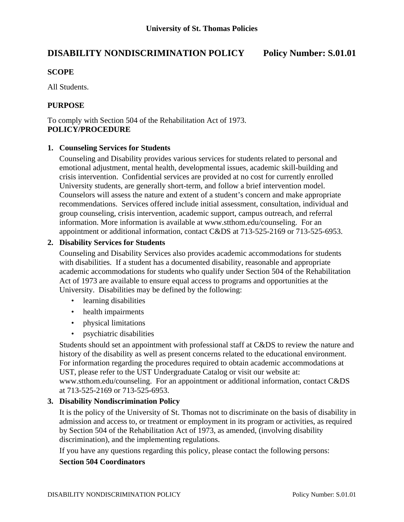# **DISABILITY NONDISCRIMINATION POLICY Policy Number: S.01.01**

### **SCOPE**

All Students.

# **PURPOSE**

To comply with Section 504 of the Rehabilitation Act of 1973. **POLICY/PROCEDURE** 

#### **1. Counseling Services for Students**

Counseling and Disability provides various services for students related to personal and emotional adjustment, mental health, developmental issues, academic skill-building and crisis intervention. Confidential services are provided at no cost for currently enrolled University students, are generally short-term, and follow a brief intervention model. Counselors will assess the nature and extent of a student's concern and make appropriate recommendations. Services offered include initial assessment, consultation, individual and group counseling, crisis intervention, academic support, campus outreach, and referral information. More information is available at www.stthom.edu/counseling. For an appointment or additional information, contact C&DS at 713-525-2169 or 713-525-6953.

#### **2. Disability Services for Students**

Counseling and Disability Services also provides academic accommodations for students with disabilities. If a student has a documented disability, reasonable and appropriate academic accommodations for students who qualify under Section 504 of the Rehabilitation Act of 1973 are available to ensure equal access to programs and opportunities at the University. Disabilities may be defined by the following:

- learning disabilities
- health impairments
- physical limitations
- psychiatric disabilities

Students should set an appointment with professional staff at C&DS to review the nature and history of the disability as well as present concerns related to the educational environment. For information regarding the procedures required to obtain academic accommodations at UST, please refer to the UST Undergraduate Catalog or visit our website at: www.stthom.edu/counseling. For an appointment or additional information, contact C&DS at 713-525-2169 or 713-525-6953.

#### **3. Disability Nondiscrimination Policy**

It is the policy of the University of St. Thomas not to discriminate on the basis of disability in admission and access to, or treatment or employment in its program or activities, as required by Section 504 of the Rehabilitation Act of 1973, as amended, (involving disability discrimination), and the implementing regulations.

If you have any questions regarding this policy, please contact the following persons:

#### **Section 504 Coordinators**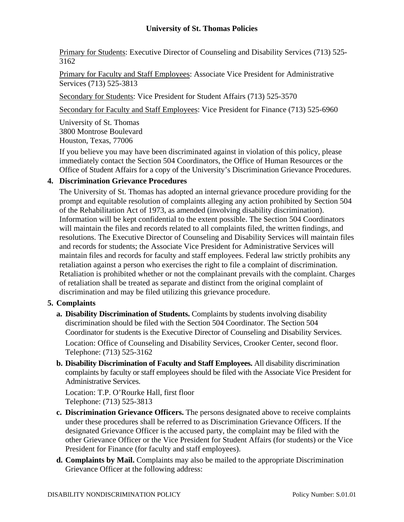# **University of St. Thomas Policies**

Primary for Students: Executive Director of Counseling and Disability Services (713) 525- 3162

Primary for Faculty and Staff Employees: Associate Vice President for Administrative Services (713) 525-3813

Secondary for Students: Vice President for Student Affairs (713) 525-3570

Secondary for Faculty and Staff Employees: Vice President for Finance (713) 525-6960

University of St. Thomas 3800 Montrose Boulevard Houston, Texas, 77006

If you believe you may have been discriminated against in violation of this policy, please immediately contact the Section 504 Coordinators, the Office of Human Resources or the Office of Student Affairs for a copy of the University's Discrimination Grievance Procedures.

# **4. Discrimination Grievance Procedures**

The University of St. Thomas has adopted an internal grievance procedure providing for the prompt and equitable resolution of complaints alleging any action prohibited by Section 504 of the Rehabilitation Act of 1973, as amended (involving disability discrimination). Information will be kept confidential to the extent possible. The Section 504 Coordinators will maintain the files and records related to all complaints filed, the written findings, and resolutions. The Executive Director of Counseling and Disability Services will maintain files and records for students; the Associate Vice President for Administrative Services will maintain files and records for faculty and staff employees. Federal law strictly prohibits any retaliation against a person who exercises the right to file a complaint of discrimination. Retaliation is prohibited whether or not the complainant prevails with the complaint. Charges of retaliation shall be treated as separate and distinct from the original complaint of discrimination and may be filed utilizing this grievance procedure.

# **5. Complaints**

- **a. Disability Discrimination of Students.** Complaints by students involving disability discrimination should be filed with the Section 504 Coordinator. The Section 504 Coordinator for students is the Executive Director of Counseling and Disability Services. Location: Office of Counseling and Disability Services, Crooker Center, second floor. Telephone: (713) 525-3162
- **b. Disability Discrimination of Faculty and Staff Employees.** All disability discrimination complaints by faculty or staff employees should be filed with the Associate Vice President for Administrative Services.

 Location: T.P. O'Rourke Hall, first floor Telephone: (713) 525-3813

- **c. Discrimination Grievance Officers.** The persons designated above to receive complaints under these procedures shall be referred to as Discrimination Grievance Officers. If the designated Grievance Officer is the accused party, the complaint may be filed with the other Grievance Officer or the Vice President for Student Affairs (for students) or the Vice President for Finance (for faculty and staff employees).
- **d. Complaints by Mail.** Complaints may also be mailed to the appropriate Discrimination Grievance Officer at the following address: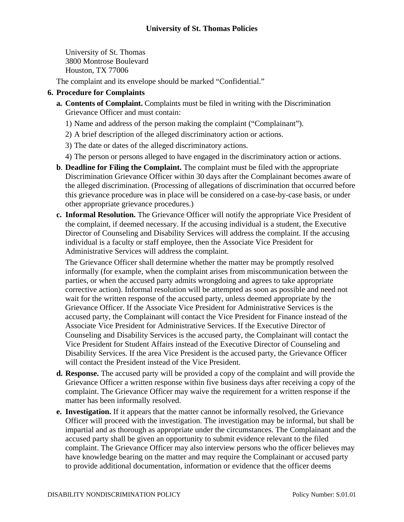University of St. Thomas 3800 Montrose Boulevard Houston, TX 77006

The complaint and its envelope should be marked "Confidential."

# **6. Procedure for Complaints**

- **a. Contents of Complaint.** Complaints must be filed in writing with the Discrimination Grievance Officer and must contain:
	- 1) Name and address of the person making the complaint ("Complainant").
	- 2) A brief description of the alleged discriminatory action or actions.
	- 3) The date or dates of the alleged discriminatory actions.
	- 4) The person or persons alleged to have engaged in the discriminatory action or actions.
- **b**. **Deadline for Filing the Complaint.** The complaint must be filed with the appropriate Discrimination Grievance Officer within 30 days after the Complainant becomes aware of the alleged discrimination. (Processing of allegations of discrimination that occurred before this grievance procedure was in place will be considered on a case-by-case basis, or under other appropriate grievance procedures.)
- **c. Informal Resolution.** The Grievance Officer will notify the appropriate Vice President of the complaint, if deemed necessary. If the accusing individual is a student, the Executive Director of Counseling and Disability Services will address the complaint. If the accusing individual is a faculty or staff employee, then the Associate Vice President for Administrative Services will address the complaint.

 The Grievance Officer shall determine whether the matter may be promptly resolved informally (for example, when the complaint arises from miscommunication between the parties, or when the accused party admits wrongdoing and agrees to take appropriate corrective action). Informal resolution will be attempted as soon as possible and need not wait for the written response of the accused party, unless deemed appropriate by the Grievance Officer. If the Associate Vice President for Administrative Services is the accused party, the Complainant will contact the Vice President for Finance instead of the Associate Vice President for Administrative Services. If the Executive Director of Counseling and Disability Services is the accused party, the Complainant will contact the Vice President for Student Affairs instead of the Executive Director of Counseling and Disability Services. If the area Vice President is the accused party, the Grievance Officer will contact the President instead of the Vice President.

- **d. Response.** The accused party will be provided a copy of the complaint and will provide the Grievance Officer a written response within five business days after receiving a copy of the complaint. The Grievance Officer may waive the requirement for a written response if the matter has been informally resolved.
- **e. Investigation.** If it appears that the matter cannot be informally resolved, the Grievance Officer will proceed with the investigation. The investigation may be informal, but shall be impartial and as thorough as appropriate under the circumstances. The Complainant and the accused party shall be given an opportunity to submit evidence relevant to the filed complaint. The Grievance Officer may also interview persons who the officer believes may have knowledge bearing on the matter and may require the Complainant or accused party to provide additional documentation, information or evidence that the officer deems